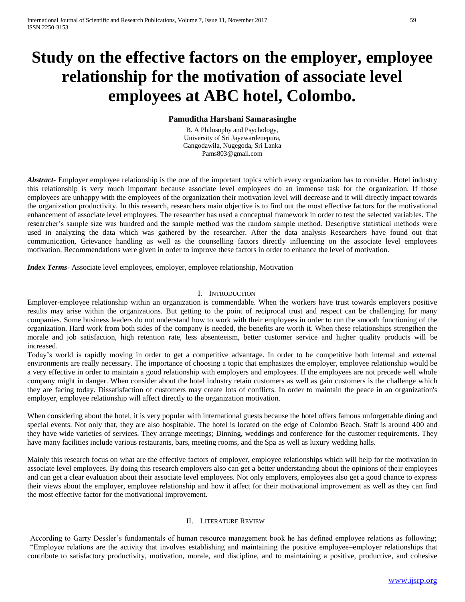# **Study on the effective factors on the employer, employee relationship for the motivation of associate level employees at ABC hotel, Colombo.**

# **Pamuditha Harshani Samarasinghe**

B. A Philosophy and Psychology, University of Sri Jayewardenepura, Gangodawila, Nugegoda, Sri Lanka Pams803@gmail.com

*Abstract***-** Employer employee relationship is the one of the important topics which every organization has to consider. Hotel industry this relationship is very much important because associate level employees do an immense task for the organization. If those employees are unhappy with the employees of the organization their motivation level will decrease and it will directly impact towards the organization productivity. In this research, researchers main objective is to find out the most effective factors for the motivational enhancement of associate level employees. The researcher has used a conceptual framework in order to test the selected variables. The researcher's sample size was hundred and the sample method was the random sample method. Descriptive statistical methods were used in analyzing the data which was gathered by the researcher. After the data analysis Researchers have found out that communication, Grievance handling as well as the counselling factors directly influencing on the associate level employees motivation. Recommendations were given in order to improve these factors in order to enhance the level of motivation.

*Index Terms*- Associate level employees, employer, employee relationship, Motivation

## I. INTRODUCTION

Employer-employee relationship within an organization is commendable. When the workers have trust towards employers positive results may arise within the organizations. But getting to the point of reciprocal trust and respect can be challenging for many companies. Some business leaders do not understand how to work with their employees in order to run the smooth functioning of the organization. Hard work from both sides of the company is needed, the benefits are worth it. When these relationships strengthen the morale and job satisfaction, high retention rate, less absenteeism, better customer service and higher quality products will be increased.

Today's world is rapidly moving in order to get a competitive advantage. In order to be competitive both internal and external environments are really necessary. The importance of choosing a topic that emphasizes the employer, employee relationship would be a very effective in order to maintain a good relationship with employers and employees. If the employees are not precede well whole company might in danger. When consider about the hotel industry retain customers as well as gain customers is the challenge which they are facing today. Dissatisfaction of customers may create lots of conflicts. In order to maintain the peace in an organization's employer, employee relationship will affect directly to the organization motivation.

When considering about the hotel, it is very popular with international guests because the hotel offers famous unforgettable dining and special events. Not only that, they are also hospitable. The hotel is located on the edge of Colombo Beach. Staff is around 400 and they have wide varieties of services. They arrange meetings; Dinning, weddings and conference for the customer requirements. They have many facilities include various restaurants, bars, meeting rooms, and the Spa as well as luxury wedding halls.

Mainly this research focus on what are the effective factors of employer, employee relationships which will help for the motivation in associate level employees. By doing this research employers also can get a better understanding about the opinions of their employees and can get a clear evaluation about their associate level employees. Not only employers, employees also get a good chance to express their views about the employer, employee relationship and how it affect for their motivational improvement as well as they can find the most effective factor for the motivational improvement.

# II. LITERATURE REVIEW

According to Garry Dessler's fundamentals of human resource management book he has defined employee relations as following; "Employee relations are the activity that involves establishing and maintaining the positive employee–employer relationships that contribute to satisfactory productivity, motivation, morale, and discipline, and to maintaining a positive, productive, and cohesive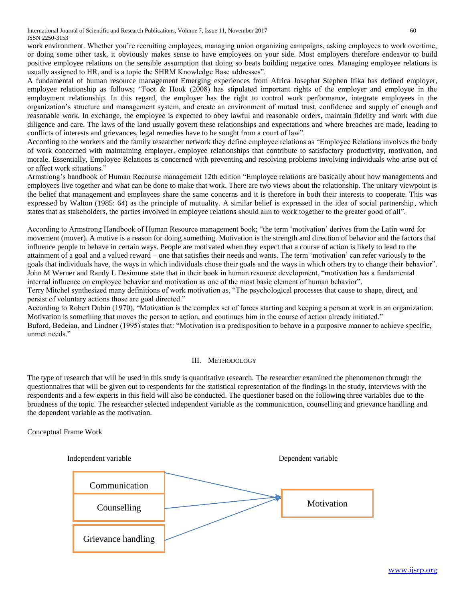International Journal of Scientific and Research Publications, Volume 7, Issue 11, November 2017 60 ISSN 2250-3153

work environment. Whether you're recruiting employees, managing union organizing campaigns, asking employees to work overtime, or doing some other task, it obviously makes sense to have employees on your side. Most employers therefore endeavor to build positive employee relations on the sensible assumption that doing so beats building negative ones. Managing employee relations is usually assigned to HR, and is a topic the SHRM Knowledge Base addresses".

A fundamental of human resource management Emerging experiences from Africa Josephat Stephen Itika has defined employer, employee relationship as follows; "Foot & Hook (2008) has stipulated important rights of the employer and employee in the employment relationship. In this regard, the employer has the right to control work performance, integrate employees in the organization's structure and management system, and create an environment of mutual trust, confidence and supply of enough and reasonable work. In exchange, the employee is expected to obey lawful and reasonable orders, maintain fidelity and work with due diligence and care. The laws of the land usually govern these relationships and expectations and where breaches are made, leading to conflicts of interests and grievances, legal remedies have to be sought from a court of law".

According to the workers and the family researcher network they define employee relations as "Employee Relations involves the body of work concerned with maintaining employer, employee relationships that contribute to satisfactory productivity, motivation, and morale. Essentially, Employee Relations is concerned with preventing and resolving problems involving individuals who arise out of or affect work situations."

Armstrong's handbook of Human Recourse management 12th edition "Employee relations are basically about how managements and employees live together and what can be done to make that work. There are two views about the relationship. The unitary viewpoint is the belief that management and employees share the same concerns and it is therefore in both their interests to cooperate. This was expressed by Walton (1985: 64) as the principle of mutuality. A similar belief is expressed in the idea of social partnership, which states that as stakeholders, the parties involved in employee relations should aim to work together to the greater good of all".

According to Armstrong Handbook of Human Resource management book; "the term 'motivation' derives from the Latin word for movement (mover). A motive is a reason for doing something. Motivation is the strength and direction of behavior and the factors that influence people to behave in certain ways. People are motivated when they expect that a course of action is likely to lead to the attainment of a goal and a valued reward – one that satisfies their needs and wants. The term 'motivation' can refer variously to the goals that individuals have, the ways in which individuals chose their goals and the ways in which others try to change their behavior". John M Werner and Randy L Desimune state that in their book in human resource development, "motivation has a fundamental internal influence on employee behavior and motivation as one of the most basic element of human behavior".

Terry Mitchel synthesized many definitions of work motivation as, "The psychological processes that cause to shape, direct, and persist of voluntary actions those are goal directed."

According to Robert Dubin (1970), "Motivation is the complex set of forces starting and keeping a person at work in an organization. Motivation is something that moves the person to action, and continues him in the course of action already initiated." Buford, Bedeian, and Lindner (1995) states that: "Motivation is a predisposition to behave in a purposive manner to achieve specific, unmet needs."

## III. METHODOLOGY

The type of research that will be used in this study is quantitative research. The researcher examined the phenomenon through the questionnaires that will be given out to respondents for the statistical representation of the findings in the study, interviews with the respondents and a few experts in this field will also be conducted. The questioner based on the following three variables due to the broadness of the topic. The researcher selected independent variable as the communication, counselling and grievance handling and the dependent variable as the motivation.

## Conceptual Frame Work

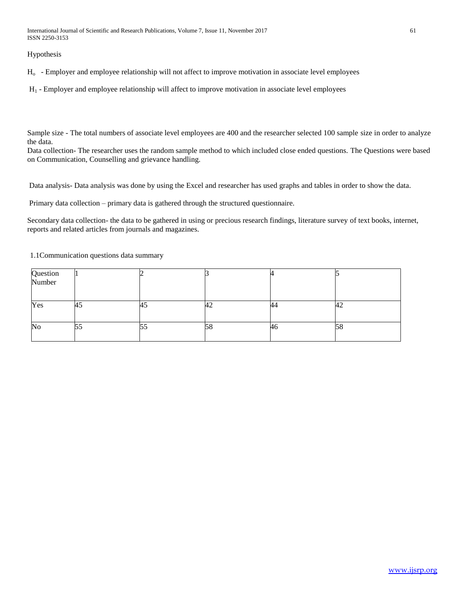International Journal of Scientific and Research Publications, Volume 7, Issue 11, November 2017 61 ISSN 2250-3153

Hypothesis

Ho - Employer and employee relationship will not affect to improve motivation in associate level employees

H<sup>1</sup> - Employer and employee relationship will affect to improve motivation in associate level employees

Sample size - The total numbers of associate level employees are 400 and the researcher selected 100 sample size in order to analyze the data.

Data collection- The researcher uses the random sample method to which included close ended questions. The Questions were based on Communication, Counselling and grievance handling.

Data analysis- Data analysis was done by using the Excel and researcher has used graphs and tables in order to show the data.

Primary data collection – primary data is gathered through the structured questionnaire.

Secondary data collection- the data to be gathered in using or precious research findings, literature survey of text books, internet, reports and related articles from journals and magazines.

1.1Communication questions data summary

| Question<br>Number |           |    |     |    |    |
|--------------------|-----------|----|-----|----|----|
|                    |           |    |     |    |    |
| Yes                | . .<br>45 | HJ | 44  | 44 | 42 |
| No                 | 55        | レー | Dŏ. | 46 | 58 |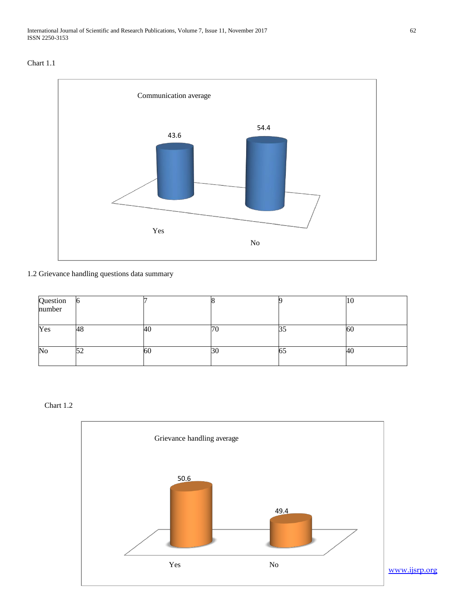



1.2 Grievance handling questions data summary

| Question<br>number | N   |    |    |    | ΙU  |
|--------------------|-----|----|----|----|-----|
|                    |     |    |    |    |     |
| Yes                | 48  | 40 | 70 |    | 160 |
|                    |     |    |    | JJ |     |
| $\rm No$           | ے ر | 60 | зU | υJ | 40  |
|                    |     |    |    |    |     |

Chart 1.2

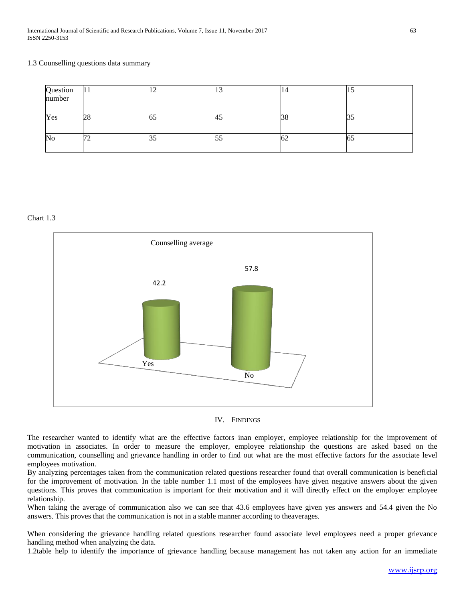#### 1.3 Counselling questions data summary

| Question<br>number | L L    |    | ⊥ J |    | . J |
|--------------------|--------|----|-----|----|-----|
| Yes                | 28     | ບບ | HJ  | DО |     |
| No                 | ⇁<br>∼ |    |     | bΖ | OЭ  |

#### Chart 1.3





The researcher wanted to identify what are the effective factors inan employer, employee relationship for the improvement of motivation in associates. In order to measure the employer, employee relationship the questions are asked based on the communication, counselling and grievance handling in order to find out what are the most effective factors for the associate level employees motivation.

By analyzing percentages taken from the communication related questions researcher found that overall communication is beneficial for the improvement of motivation. In the table number 1.1 most of the employees have given negative answers about the given questions. This proves that communication is important for their motivation and it will directly effect on the employer employee relationship.

When taking the average of communication also we can see that 43.6 employees have given yes answers and 54.4 given the No answers. This proves that the communication is not in a stable manner according to theaverages.

When considering the grievance handling related questions researcher found associate level employees need a proper grievance handling method when analyzing the data.

1.2table help to identify the importance of grievance handling because management has not taken any action for an immediate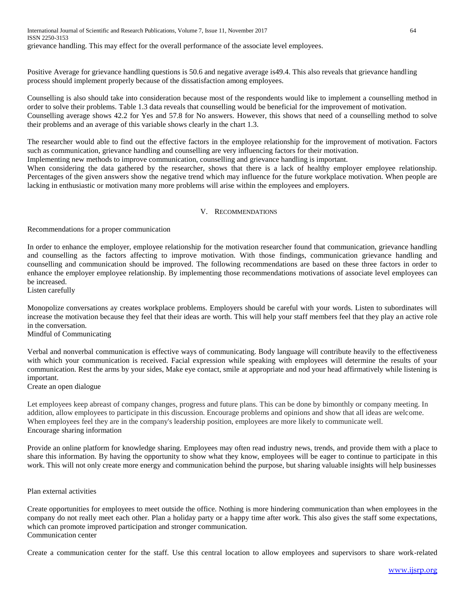International Journal of Scientific and Research Publications, Volume 7, Issue 11, November 2017 64 ISSN 2250-3153 grievance handling. This may effect for the overall performance of the associate level employees.

Positive Average for grievance handling questions is 50.6 and negative average is49.4. This also reveals that grievance handling process should implement properly because of the dissatisfaction among employees.

Counselling is also should take into consideration because most of the respondents would like to implement a counselling method in order to solve their problems. Table 1.3 data reveals that counselling would be beneficial for the improvement of motivation. Counselling average shows 42.2 for Yes and 57.8 for No answers. However, this shows that need of a counselling method to solve their problems and an average of this variable shows clearly in the chart 1.3.

The researcher would able to find out the effective factors in the employee relationship for the improvement of motivation. Factors such as communication, grievance handling and counselling are very influencing factors for their motivation.

Implementing new methods to improve communication, counselling and grievance handling is important.

When considering the data gathered by the researcher, shows that there is a lack of healthy employer employee relationship. Percentages of the given answers show the negative trend which may influence for the future workplace motivation. When people are lacking in enthusiastic or motivation many more problems will arise within the employees and employers.

# V. RECOMMENDATIONS

Recommendations for a proper communication

In order to enhance the employer, employee relationship for the motivation researcher found that communication, grievance handling and counselling as the factors affecting to improve motivation. With those findings, communication grievance handling and counselling and communication should be improved. The following recommendations are based on these three factors in order to enhance the employer employee relationship. By implementing those recommendations motivations of associate level employees can be increased.

Listen carefully

Monopolize conversations ay creates workplace problems. Employers should be careful with your words. Listen to subordinates will increase the motivation because they feel that their ideas are worth. This will help your staff members feel that they play an active role in the conversation.

Mindful of Communicating

Verbal and nonverbal communication is effective ways of communicating. Body language will contribute heavily to the effectiveness with which your communication is received. Facial expression while speaking with employees will determine the results of your communication. Rest the arms by your sides, Make eye contact, smile at appropriate and nod your head affirmatively while listening is important.

Create an open dialogue

Let employees keep abreast of company changes, progress and future plans. This can be done by bimonthly or company meeting. In addition, allow employees to participate in this discussion. Encourage problems and opinions and show that all ideas are welcome. When employees feel they are in the company's leadership position, employees are more likely to communicate well. Encourage sharing information

Provide an online platform for knowledge sharing. Employees may often read industry news, trends, and provide them with a place to share this information. By having the opportunity to show what they know, employees will be eager to continue to participate in this work. This will not only create more energy and communication behind the purpose, but sharing valuable insights will help businesses

## Plan external activities

Create opportunities for employees to meet outside the office. Nothing is more hindering communication than when employees in the company do not really meet each other. Plan a holiday party or a happy time after work. This also gives the staff some expectations, which can promote improved participation and stronger communication. Communication center

Create a communication center for the staff. Use this central location to allow employees and supervisors to share work-related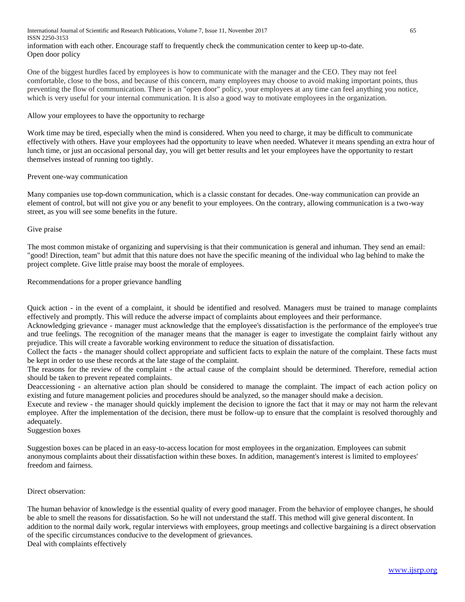International Journal of Scientific and Research Publications, Volume 7, Issue 11, November 2017 65 ISSN 2250-3153 information with each other. Encourage staff to frequently check the communication center to keep up-to-date. Open door policy

One of the biggest hurdles faced by employees is how to communicate with the manager and the CEO. They may not feel comfortable, close to the boss, and because of this concern, many employees may choose to avoid making important points, thus preventing the flow of communication. There is an "open door" policy, your employees at any time can feel anything you notice, which is very useful for your internal communication. It is also a good way to motivate employees in the organization.

## Allow your employees to have the opportunity to recharge

Work time may be tired, especially when the mind is considered. When you need to charge, it may be difficult to communicate effectively with others. Have your employees had the opportunity to leave when needed. Whatever it means spending an extra hour of lunch time, or just an occasional personal day, you will get better results and let your employees have the opportunity to restart themselves instead of running too tightly.

## Prevent one-way communication

Many companies use top-down communication, which is a classic constant for decades. One-way communication can provide an element of control, but will not give you or any benefit to your employees. On the contrary, allowing communication is a two-way street, as you will see some benefits in the future.

## Give praise

The most common mistake of organizing and supervising is that their communication is general and inhuman. They send an email: "good! Direction, team" but admit that this nature does not have the specific meaning of the individual who lag behind to make the project complete. Give little praise may boost the morale of employees.

Recommendations for a proper grievance handling

Quick action - in the event of a complaint, it should be identified and resolved. Managers must be trained to manage complaints effectively and promptly. This will reduce the adverse impact of complaints about employees and their performance.

Acknowledging grievance - manager must acknowledge that the employee's dissatisfaction is the performance of the employee's true and true feelings. The recognition of the manager means that the manager is eager to investigate the complaint fairly without any prejudice. This will create a favorable working environment to reduce the situation of dissatisfaction.

Collect the facts - the manager should collect appropriate and sufficient facts to explain the nature of the complaint. These facts must be kept in order to use these records at the late stage of the complaint.

The reasons for the review of the complaint - the actual cause of the complaint should be determined. Therefore, remedial action should be taken to prevent repeated complaints.

Deaccessioning - an alternative action plan should be considered to manage the complaint. The impact of each action policy on existing and future management policies and procedures should be analyzed, so the manager should make a decision.

Execute and review - the manager should quickly implement the decision to ignore the fact that it may or may not harm the relevant employee. After the implementation of the decision, there must be follow-up to ensure that the complaint is resolved thoroughly and adequately.

Suggestion boxes

Suggestion boxes can be placed in an easy-to-access location for most employees in the organization. Employees can submit anonymous complaints about their dissatisfaction within these boxes. In addition, management's interest is limited to employees' freedom and fairness.

## Direct observation:

The human behavior of knowledge is the essential quality of every good manager. From the behavior of employee changes, he should be able to smell the reasons for dissatisfaction. So he will not understand the staff. This method will give general discontent. In addition to the normal daily work, regular interviews with employees, group meetings and collective bargaining is a direct observation of the specific circumstances conducive to the development of grievances.

Deal with complaints effectively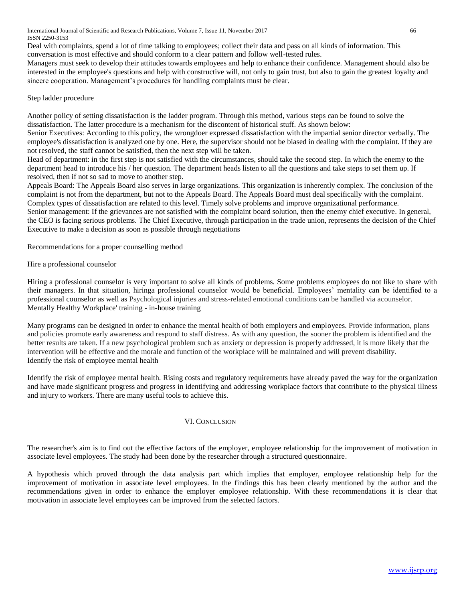International Journal of Scientific and Research Publications, Volume 7, Issue 11, November 2017 66 ISSN 2250-3153

Deal with complaints, spend a lot of time talking to employees; collect their data and pass on all kinds of information. This conversation is most effective and should conform to a clear pattern and follow well-tested rules.

Managers must seek to develop their attitudes towards employees and help to enhance their confidence. Management should also be interested in the employee's questions and help with constructive will, not only to gain trust, but also to gain the greatest loyalty and sincere cooperation. Management's procedures for handling complaints must be clear.

## Step ladder procedure

Another policy of setting dissatisfaction is the ladder program. Through this method, various steps can be found to solve the dissatisfaction. The latter procedure is a mechanism for the discontent of historical stuff. As shown below:

Senior Executives: According to this policy, the wrongdoer expressed dissatisfaction with the impartial senior director verbally. The employee's dissatisfaction is analyzed one by one. Here, the supervisor should not be biased in dealing with the complaint. If they are not resolved, the staff cannot be satisfied, then the next step will be taken.

Head of department: in the first step is not satisfied with the circumstances, should take the second step. In which the enemy to the department head to introduce his / her question. The department heads listen to all the questions and take steps to set them up. If resolved, then if not so sad to move to another step.

Appeals Board: The Appeals Board also serves in large organizations. This organization is inherently complex. The conclusion of the complaint is not from the department, but not to the Appeals Board. The Appeals Board must deal specifically with the complaint. Complex types of dissatisfaction are related to this level. Timely solve problems and improve organizational performance. Senior management: If the grievances are not satisfied with the complaint board solution, then the enemy chief executive. In general, the CEO is facing serious problems. The Chief Executive, through participation in the trade union, represents the decision of the Chief Executive to make a decision as soon as possible through negotiations

Recommendations for a proper counselling method

Hire a professional counselor

Hiring a professional counselor is very important to solve all kinds of problems. Some problems employees do not like to share with their managers. In that situation, hiringa professional counselor would be beneficial. Employees' mentality can be identified to a professional counselor as well as Psychological injuries and stress-related emotional conditions can be handled via acounselor. Mentally Healthy Workplace' training - in-house training

Many programs can be designed in order to enhance the mental health of both employers and employees. Provide information, plans and policies promote early awareness and respond to staff distress. As with any question, the sooner the problem is identified and the better results are taken. If a new psychological problem such as anxiety or depression is properly addressed, it is more likely that the intervention will be effective and the morale and function of the workplace will be maintained and will prevent disability. Identify the risk of employee mental health

Identify the risk of employee mental health. Rising costs and regulatory requirements have already paved the way for the organization and have made significant progress and progress in identifying and addressing workplace factors that contribute to the physical illness and injury to workers. There are many useful tools to achieve this.

## VI. CONCLUSION

The researcher's aim is to find out the effective factors of the employer, employee relationship for the improvement of motivation in associate level employees. The study had been done by the researcher through a structured questionnaire.

A hypothesis which proved through the data analysis part which implies that employer, employee relationship help for the improvement of motivation in associate level employees. In the findings this has been clearly mentioned by the author and the recommendations given in order to enhance the employer employee relationship. With these recommendations it is clear that motivation in associate level employees can be improved from the selected factors.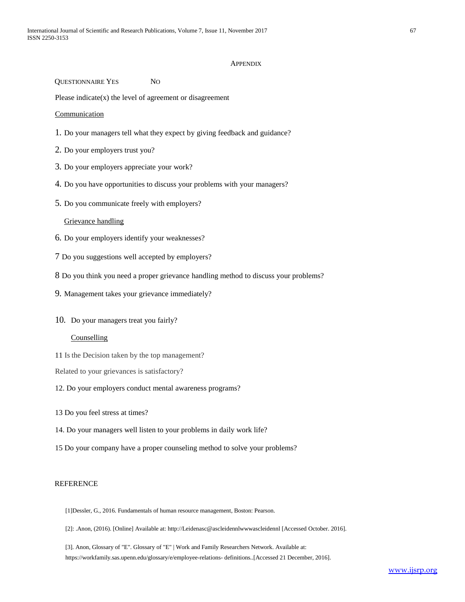#### APPENDIX

QUESTIONNAIRE YES NO

Please indicate $(x)$  the level of agreement or disagreement

Communication

- 1. Do your managers tell what they expect by giving feedback and guidance?
- 2. Do your employers trust you?
- 3. Do your employers appreciate your work?
- 4. Do you have opportunities to discuss your problems with your managers?
- 5. Do you communicate freely with employers?

# Grievance handling

- 6. Do your employers identify your weaknesses?
- 7 Do you suggestions well accepted by employers?
- 8 Do you think you need a proper grievance handling method to discuss your problems?
- 9. Management takes your grievance immediately?
- 10. Do your managers treat you fairly?

# **Counselling**

- 11 Is the Decision taken by the top management?
- Related to your grievances is satisfactory?
- 12. Do your employers conduct mental awareness programs?
- 13 Do you feel stress at times?
- 14. Do your managers well listen to your problems in daily work life?
- 15 Do your company have a proper counseling method to solve your problems?

#### REFERENCE

- [1]Dessler, G., 2016. Fundamentals of human resource management, Boston: Pearson.
- [2]: .Anon, (2016). [Online] Available at: [http://Leidena](http://leiden/)sc@ascleidennlwwwascleidennl [Accessed October. 2016].
- [3]. Anon, Glossary of "E". Glossary of "E" | Work and Family Researchers Network. Available at: https://workfamily.sas.upenn.edu/glossary/e/employee-relations- definitions..[Accessed 21 December, 2016].